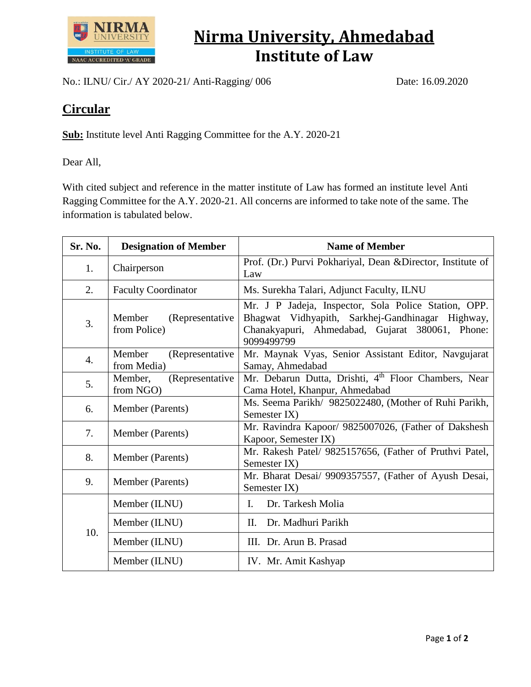

## **Nirma University, Ahmedabad Institute of Law**

No.: ILNU/ Cir./ AY 2020-21/ Anti-Ragging/ 006 Date: 16.09.2020

## **Circular**

**Sub:** Institute level Anti Ragging Committee for the A.Y. 2020-21

Dear All,

With cited subject and reference in the matter institute of Law has formed an institute level Anti Ragging Committee for the A.Y. 2020-21. All concerns are informed to take note of the same. The information is tabulated below.

| Sr. No. | <b>Designation of Member</b>              | <b>Name of Member</b>                                                                                                                                                     |
|---------|-------------------------------------------|---------------------------------------------------------------------------------------------------------------------------------------------------------------------------|
| 1.      | Chairperson                               | Prof. (Dr.) Purvi Pokhariyal, Dean & Director, Institute of<br>Law                                                                                                        |
| 2.      | <b>Faculty Coordinator</b>                | Ms. Surekha Talari, Adjunct Faculty, ILNU                                                                                                                                 |
| 3.      | Member<br>(Representative<br>from Police) | Mr. J P Jadeja, Inspector, Sola Police Station, OPP.<br>Bhagwat Vidhyapith, Sarkhej-Gandhinagar Highway,<br>Chanakyapuri, Ahmedabad, Gujarat 380061, Phone:<br>9099499799 |
| 4.      | Member<br>(Representative)<br>from Media) | Mr. Maynak Vyas, Senior Assistant Editor, Navgujarat<br>Samay, Ahmedabad                                                                                                  |
| 5.      | (Representative<br>Member,<br>from NGO)   | Mr. Debarun Dutta, Drishti, 4 <sup>th</sup> Floor Chambers, Near<br>Cama Hotel, Khanpur, Ahmedabad                                                                        |
| 6.      | Member (Parents)                          | Ms. Seema Parikh/ 9825022480, (Mother of Ruhi Parikh,<br>Semester IX)                                                                                                     |
| 7.      | Member (Parents)                          | Mr. Ravindra Kapoor/ 9825007026, (Father of Dakshesh<br>Kapoor, Semester IX)                                                                                              |
| 8.      | Member (Parents)                          | Mr. Rakesh Patel/ 9825157656, (Father of Pruthvi Patel,<br>Semester IX)                                                                                                   |
| 9.      | Member (Parents)                          | Mr. Bharat Desai/ 9909357557, (Father of Ayush Desai,<br>Semester IX)                                                                                                     |
| 10.     | Member (ILNU)                             | Dr. Tarkesh Molia<br>Ι.                                                                                                                                                   |
|         | Member (ILNU)                             | Dr. Madhuri Parikh<br>П.                                                                                                                                                  |
|         | Member (ILNU)                             | III. Dr. Arun B. Prasad                                                                                                                                                   |
|         | Member (ILNU)                             | IV. Mr. Amit Kashyap                                                                                                                                                      |